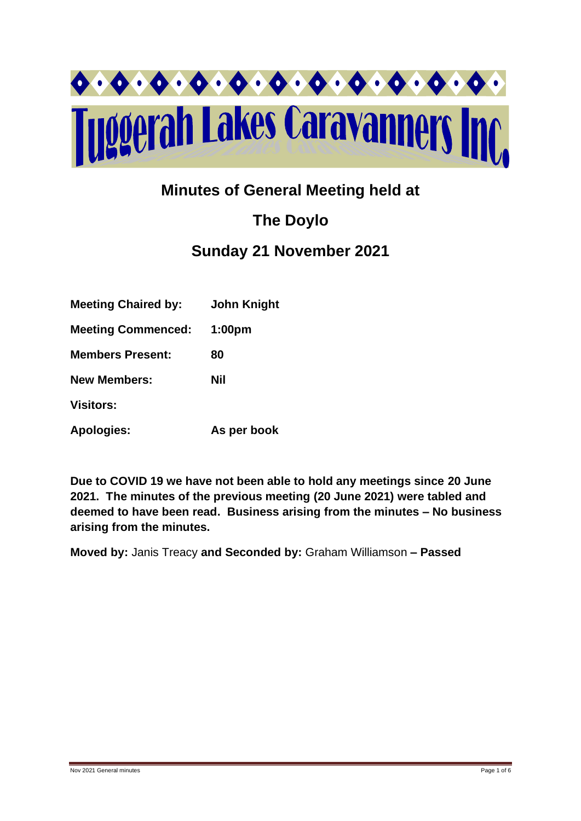

## **Minutes of General Meeting held at**

# **The Doylo**

### **Sunday 21 November 2021**

| <b>Meeting Chaired by:</b> | <b>John Knight</b> |
|----------------------------|--------------------|
| <b>Meeting Commenced:</b>  | 1:00 <sub>pm</sub> |
| <b>Members Present:</b>    | 80                 |
| <b>New Members:</b>        | Nil                |
| <b>Visitors:</b>           |                    |
| <b>Apologies:</b>          | As per book        |

**Due to COVID 19 we have not been able to hold any meetings since 20 June 2021. The minutes of the previous meeting (20 June 2021) were tabled and deemed to have been read. Business arising from the minutes – No business arising from the minutes.**

**Moved by:** Janis Treacy **and Seconded by:** Graham Williamson **– Passed**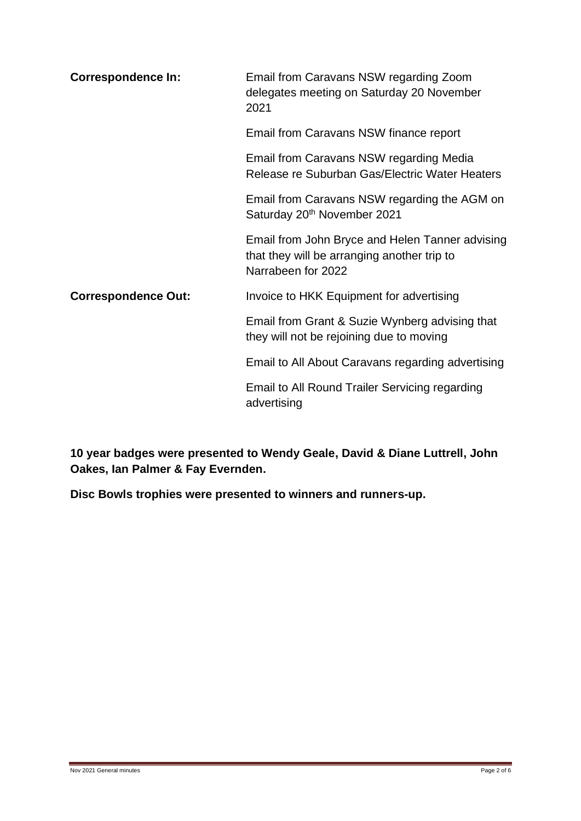| <b>Correspondence In:</b>  | Email from Caravans NSW regarding Zoom<br>delegates meeting on Saturday 20 November<br>2021                          |  |
|----------------------------|----------------------------------------------------------------------------------------------------------------------|--|
|                            | Email from Caravans NSW finance report                                                                               |  |
|                            | Email from Caravans NSW regarding Media<br>Release re Suburban Gas/Electric Water Heaters                            |  |
|                            | Email from Caravans NSW regarding the AGM on<br>Saturday 20 <sup>th</sup> November 2021                              |  |
|                            | Email from John Bryce and Helen Tanner advising<br>that they will be arranging another trip to<br>Narrabeen for 2022 |  |
| <b>Correspondence Out:</b> | Invoice to HKK Equipment for advertising                                                                             |  |
|                            | Email from Grant & Suzie Wynberg advising that<br>they will not be rejoining due to moving                           |  |
|                            | Email to All About Caravans regarding advertising                                                                    |  |
|                            | Email to All Round Trailer Servicing regarding<br>advertising                                                        |  |

**10 year badges were presented to Wendy Geale, David & Diane Luttrell, John Oakes, Ian Palmer & Fay Evernden.**

**Disc Bowls trophies were presented to winners and runners-up.**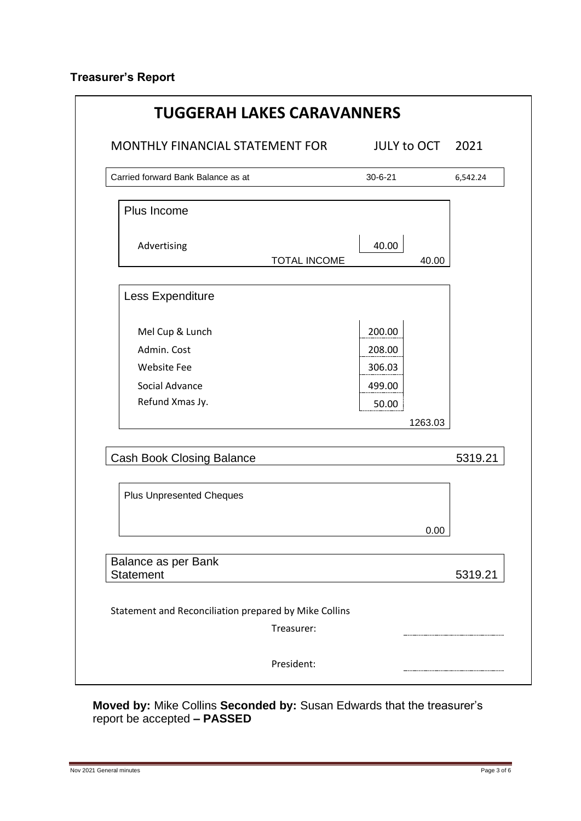### **Treasurer's Report**

| Carried forward Bank Balance as at                    | $30 - 6 - 21$  | 6,542.24 |
|-------------------------------------------------------|----------------|----------|
| Plus Income                                           |                |          |
| Advertising<br>TOTAL INCOME                           | 40.00<br>40.00 |          |
| Less Expenditure                                      |                |          |
| Mel Cup & Lunch                                       | 200.00         |          |
| Admin. Cost                                           | 208.00         |          |
| <b>Website Fee</b>                                    | 306.03         |          |
| Social Advance                                        | 499.00         |          |
| Refund Xmas Jy.                                       | 50.00          |          |
|                                                       | 1263.03        |          |
| <b>Cash Book Closing Balance</b>                      |                | 5319.21  |
| <b>Plus Unpresented Cheques</b>                       |                |          |
|                                                       | 0.00           |          |
| Balance as per Bank<br><b>Statement</b>               |                | 5319.21  |
| Statement and Reconciliation prepared by Mike Collins |                |          |

**Moved by:** Mike Collins **Seconded by:** Susan Edwards that the treasurer's report be accepted **– PASSED**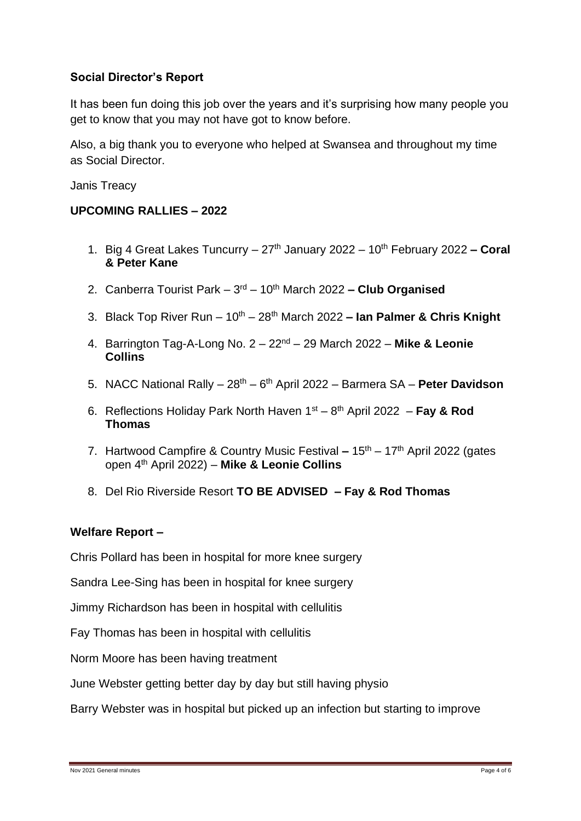#### **Social Director's Report**

It has been fun doing this job over the years and it's surprising how many people you get to know that you may not have got to know before.

Also, a big thank you to everyone who helped at Swansea and throughout my time as Social Director.

Janis Treacy

#### **UPCOMING RALLIES – 2022**

- 1. Big 4 Great Lakes Tuncurry 27th January 2022 10th February 2022 **– Coral & Peter Kane**
- 2. Canberra Tourist Park 3<sup>rd</sup> 10<sup>th</sup> March 2022  **Club Organised**
- 3. Black Top River Run 10th 28th March 2022 **– Ian Palmer & Chris Knight**
- 4. Barrington Tag-A-Long No. 2 22nd 29 March 2022 **Mike & Leonie Collins**
- 5. NACC National Rally 28<sup>th</sup> 6<sup>th</sup> April 2022 Barmera SA Peter Davidson
- 6. Reflections Holiday Park North Haven 1<sup>st</sup> 8<sup>th</sup> April 2022 **Fay & Rod Thomas**
- 7. Hartwood Campfire & Country Music Festival **–** 15th 17th April 2022 (gates open 4th April 2022) – **Mike & Leonie Collins**
- 8. Del Rio Riverside Resort **TO BE ADVISED – Fay & Rod Thomas**

#### **Welfare Report –**

Chris Pollard has been in hospital for more knee surgery

Sandra Lee-Sing has been in hospital for knee surgery

Jimmy Richardson has been in hospital with cellulitis

Fay Thomas has been in hospital with cellulitis

Norm Moore has been having treatment

June Webster getting better day by day but still having physio

Barry Webster was in hospital but picked up an infection but starting to improve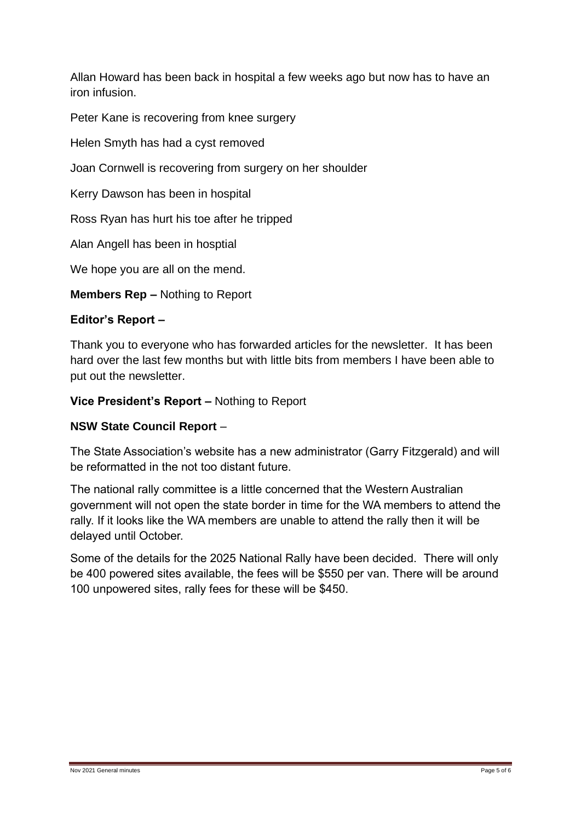Allan Howard has been back in hospital a few weeks ago but now has to have an iron infusion.

Peter Kane is recovering from knee surgery

Helen Smyth has had a cyst removed

Joan Cornwell is recovering from surgery on her shoulder

Kerry Dawson has been in hospital

Ross Ryan has hurt his toe after he tripped

Alan Angell has been in hosptial

We hope you are all on the mend.

**Members Rep –** Nothing to Report

#### **Editor's Report –**

Thank you to everyone who has forwarded articles for the newsletter. It has been hard over the last few months but with little bits from members I have been able to put out the newsletter.

**Vice President's Report –** Nothing to Report

#### **NSW State Council Report** –

The State Association's website has a new administrator (Garry Fitzgerald) and will be reformatted in the not too distant future.

The national rally committee is a little concerned that the Western Australian government will not open the state border in time for the WA members to attend the rally. If it looks like the WA members are unable to attend the rally then it will be delayed until October.

Some of the details for the 2025 National Rally have been decided. There will only be 400 powered sites available, the fees will be \$550 per van. There will be around 100 unpowered sites, rally fees for these will be \$450.